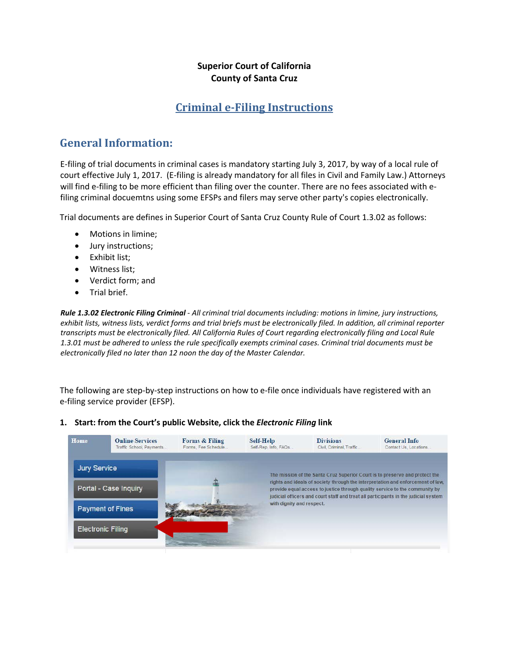#### **Superior Court of California County of Santa Cruz**

### **Criminal e-Filing Instructions**

## **General Information:**

E-filing of trial documents in criminal cases is mandatory starting July 3, 2017, by way of a local rule of court effective July 1, 2017. (E-filing is already mandatory for all files in Civil and Family Law.) Attorneys will find e-filing to be more efficient than filing over the counter. There are no fees associated with efiling criminal docuemtns using some EFSPs and filers may serve other party's copies electronically.

Trial documents are defines in Superior Court of Santa Cruz County Rule of Court 1.3.02 as follows:

- Motions in limine;
- Jury instructions;
- Exhibit list;
- Witness list;
- Verdict form; and
- Trial brief.

*Rule 1.3.02 Electronic Filing Criminal - All criminal trial documents including: motions in limine, jury instructions, exhibit lists, witness lists, verdict forms and trial briefs must be electronically filed. In addition, all criminal reporter transcripts must be electronically filed. All California Rules of Court regarding electronically filing and Local Rule 1.3.01 must be adhered to unless the rule specifically exempts criminal cases. Criminal trial documents must be electronically filed no later than 12 noon the day of the Master Calendar.* 

The following are step-by-step instructions on how to e-file once individuals have registered with an e-filing service provider (EFSP).

#### **1. Start: from the Court's public Website, click the** *Electronic Filing* **link**

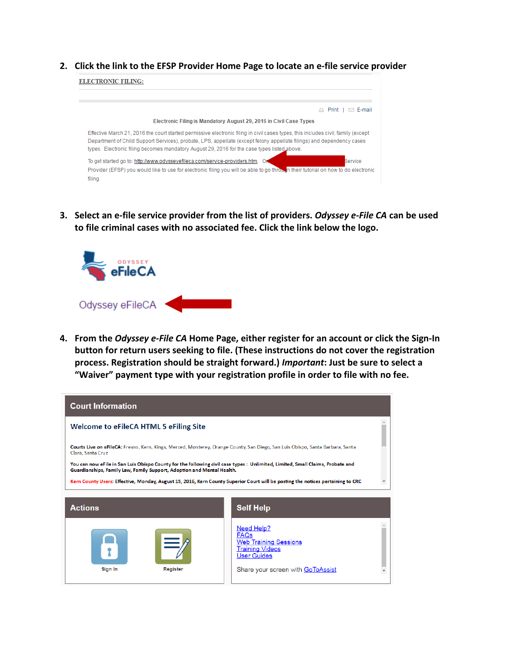**2. Click the link to the EFSP Provider Home Page to locate an e-file service provider**



**3. Select an e-file service provider from the list of providers.** *Odyssey e-File CA* **can be used to file criminal cases with no associated fee. Click the link below the logo.**



**4. From the** *Odyssey e-File CA* **Home Page, either register for an account or click the Sign-In button for return users seeking to file. (These instructions do not cover the registration process. Registration should be straight forward.)** *Important***: Just be sure to select a "Waiver" payment type with your registration profile in order to file with no fee.**

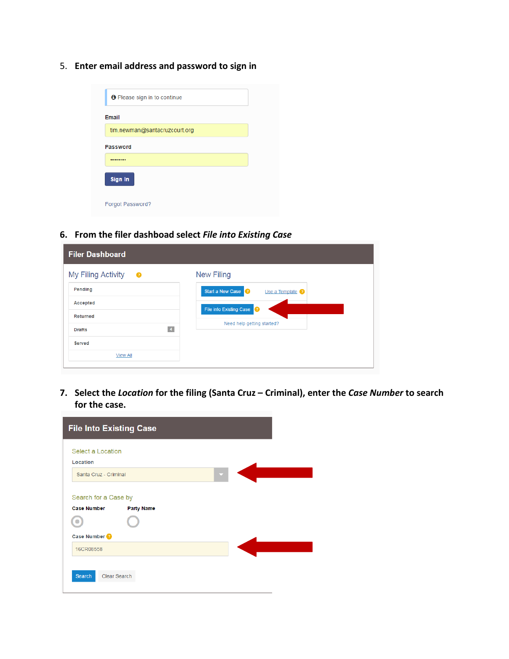5. **Enter email address and password to sign in**

| <b>O</b> Please sign in to continue |
|-------------------------------------|
| <b>Email</b>                        |
| tim.newman@santacruzcourt.org       |
| <b>Password</b>                     |
|                                     |
| Sign In                             |
| Forgot Password?                    |

**6. From the filer dashboad select** *File into Existing Case*

| <b>Filer Dashboard</b>                |                                      |
|---------------------------------------|--------------------------------------|
| My Filing Activity<br>❸               | <b>New Filing</b>                    |
| Pending                               | Start a New Case<br>Use a Template ? |
| Accepted                              | File into Existing Case              |
| <b>Returned</b>                       |                                      |
| $\blacktriangleleft$<br><b>Drafts</b> | Need help getting started?           |
| <b>Served</b>                         |                                      |
| <b>View All</b>                       |                                      |
|                                       |                                      |

**7. Select the** *Location* **for the filing (Santa Cruz – Criminal), enter the** *Case Number* **to search for the case.**

| <b>File Into Existing Case</b>                                  |  |
|-----------------------------------------------------------------|--|
| Select a Location<br>Location                                   |  |
| Santa Cruz - Criminal<br>≂                                      |  |
| Search for a Case by<br><b>Case Number</b><br><b>Party Name</b> |  |
| Case Number                                                     |  |
| 16CR08558                                                       |  |
| Clear Search<br>Search                                          |  |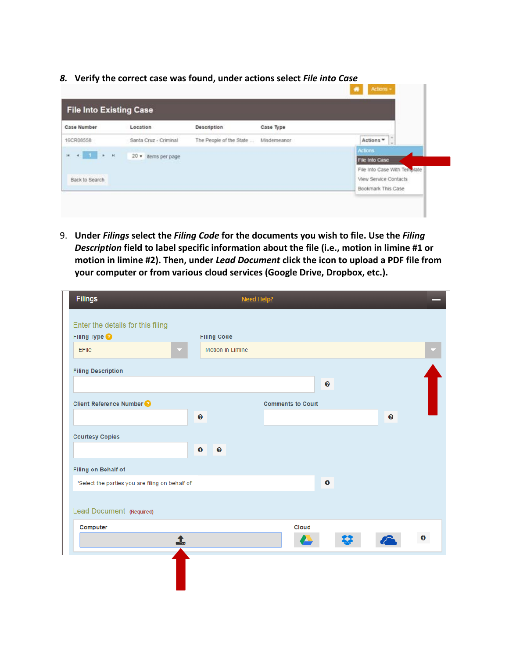*8.* **Verify the correct case was found, under actions select** *File into Case*

| <b>File Into Existing Case</b>                           |                       |                         |             |                              |
|----------------------------------------------------------|-----------------------|-------------------------|-------------|------------------------------|
| Case Number                                              | Location              | <b>Description</b>      | Case Type   |                              |
| 16CR08558                                                | Santa Cruz - Criminal | The People of the State | Misdemeanor | Actions *<br>$\frac{1}{2}$   |
| $\mathbf{e} = \mathbf{1} - \mathbf{e} - \mathbf{e}$<br>× | 20 v items per page   |                         |             | Actions<br>File Into Case    |
|                                                          |                       |                         |             | File Into Case With Template |
| Back to Search                                           |                       |                         |             | View Service Contacts        |
|                                                          |                       |                         |             | Bookmark This Case           |

9. **Under** *Filings* **select the** *Filing Code* **for the documents you wish to file. Use the** *Filing Description* **field to label specific information about the file (i.e., motion in limine #1 or motion in limine #2). Then, under** *Lead Document* **click the icon to upload a PDF file from your computer or from various cloud services (Google Drive, Dropbox, etc.).**

| Filings                                                       |                       |                    | <b>Need Help?</b> |                          |       |           |   |                       |           |
|---------------------------------------------------------------|-----------------------|--------------------|-------------------|--------------------------|-------|-----------|---|-----------------------|-----------|
| Enter the details for this filing<br>Filing Type <sup>2</sup> |                       | <b>Filing Code</b> |                   |                          |       |           |   |                       |           |
| <b>EFile</b>                                                  |                       | Motion in Limine   |                   |                          |       |           |   |                       |           |
| <b>Filing Description</b>                                     |                       |                    |                   |                          |       |           |   |                       |           |
|                                                               |                       |                    |                   |                          |       | $\bullet$ |   |                       |           |
| <b>Client Reference Number ?</b>                              |                       |                    |                   | <b>Comments to Court</b> |       |           |   |                       |           |
|                                                               | $\boldsymbol{\Theta}$ |                    |                   |                          |       |           |   | $\boldsymbol{\Theta}$ |           |
| <b>Courtesy Copies</b>                                        |                       |                    |                   |                          |       |           |   |                       |           |
|                                                               | $\mathbf 0$           | $\bullet$          |                   |                          |       |           |   |                       |           |
| Filing on Behalf of                                           |                       |                    |                   |                          |       |           |   |                       |           |
| 'Select the parties you are filing on behalf of'              |                       |                    |                   |                          |       | $\bf{0}$  |   |                       |           |
|                                                               |                       |                    |                   |                          |       |           |   |                       |           |
| Lead Document (Required)                                      |                       |                    |                   |                          |       |           |   |                       |           |
| Computer                                                      |                       |                    |                   |                          | Cloud |           |   |                       |           |
| 1                                                             |                       |                    |                   |                          |       |           | ₩ | $\curvearrowright$    | $\pmb{0}$ |
|                                                               |                       |                    |                   |                          |       |           |   |                       |           |
|                                                               |                       |                    |                   |                          |       |           |   |                       |           |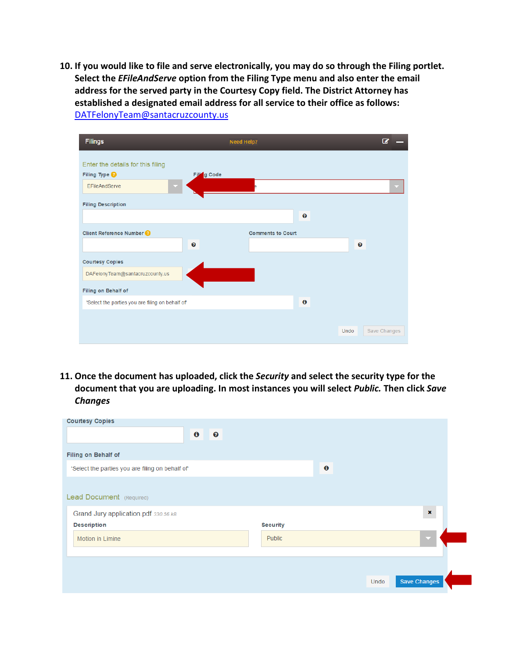**10. If you would like to file and serve electronically, you may do so through the Filing portlet. Select the** *EFileAndServe* **option from the Filing Type menu and also enter the email address for the served party in the Courtesy Copy field. The District Attorney has established a designated email address for all service to their office as follows:** [DATFelonyTeam@santacruzcounty.us](mailto:DATFelonyTeam@santacruzcounty.us)



**11. Once the document has uploaded, click the** *Security* **and select the security type for the document that you are uploading. In most instances you will select** *Public.* **Then click** *Save Changes*

| <b>Courtesy Copies</b>                           |                 |                     |                |
|--------------------------------------------------|-----------------|---------------------|----------------|
| $\mathbf 0$<br>$\boldsymbol{\Theta}$             |                 |                     |                |
| Filing on Behalf of                              |                 |                     |                |
| 'Select the parties you are filing on behalf of' |                 | $\ddot{\mathbf{0}}$ |                |
|                                                  |                 |                     |                |
| Lead Document (Required)                         |                 |                     |                |
| Grand Jury application.pdf 330.56 kB             |                 |                     | $\pmb{\times}$ |
| <b>Description</b>                               | <b>Security</b> |                     |                |
| Motion in Limine                                 | Public          |                     | M              |
|                                                  |                 |                     |                |
|                                                  |                 |                     |                |
|                                                  |                 | Undo                | Save Changes   |
|                                                  |                 |                     |                |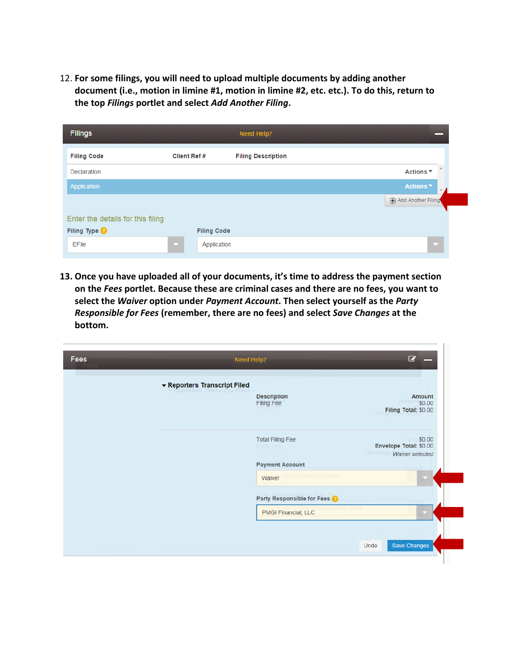12. **For some filings, you will need to upload multiple documents by adding another document (i.e., motion in limine #1, motion in limine #2, etc. etc.). To do this, return to the top** *Filings* **portlet and select** *Add Another Filing***.** 

| <b>Filings</b>                    |                         |                    | <b>Need Help?</b>         |                      |
|-----------------------------------|-------------------------|--------------------|---------------------------|----------------------|
| <b>Filing Code</b>                | <b>Client Ref #</b>     |                    | <b>Filing Description</b> |                      |
| Declaration                       |                         |                    |                           | Actions ▼            |
| Application                       |                         |                    |                           | Actions <sup>*</sup> |
|                                   |                         |                    | Add Another Filing        |                      |
| Enter the details for this filing |                         |                    |                           |                      |
| Filing Type <sup>@</sup>          |                         | <b>Filing Code</b> |                           |                      |
| EFile                             | $\overline{\mathbf{v}}$ | Application        |                           | <b>Inch</b>          |

**13. Once you have uploaded all of your documents, it's time to address the payment section on the** *Fees* **portlet. Because these are criminal cases and there are no fees, you want to select the** *Waiver* **option under** *Payment Account***. Then select yourself as the** *Party Responsible for Fees* **(remember, there are no fees) and select** *Save Changes* **at the bottom.**

| Fees |                              | Need Help?                              | $\overline{G}$                                                         |
|------|------------------------------|-----------------------------------------|------------------------------------------------------------------------|
|      | ▼ Reporters Transcript Filed |                                         |                                                                        |
|      |                              | <b>Description</b><br><b>Filing Fee</b> | <b>Amount</b><br>Amount \$0.00<br>Filing Total: \$0.00                 |
|      |                              | <b>Total Filing Fee</b><br>E-File Fee   | \$0.00<br>Envelope Total: \$0.00<br>Envelope<br><b>Waiver selected</b> |
|      |                              | <b>Payment Account</b>                  |                                                                        |
|      |                              | Waiver select Payment Account           |                                                                        |
|      |                              | Party Responsible for Fees              |                                                                        |
|      |                              | <b>PMGI Financial, LLC</b>              |                                                                        |